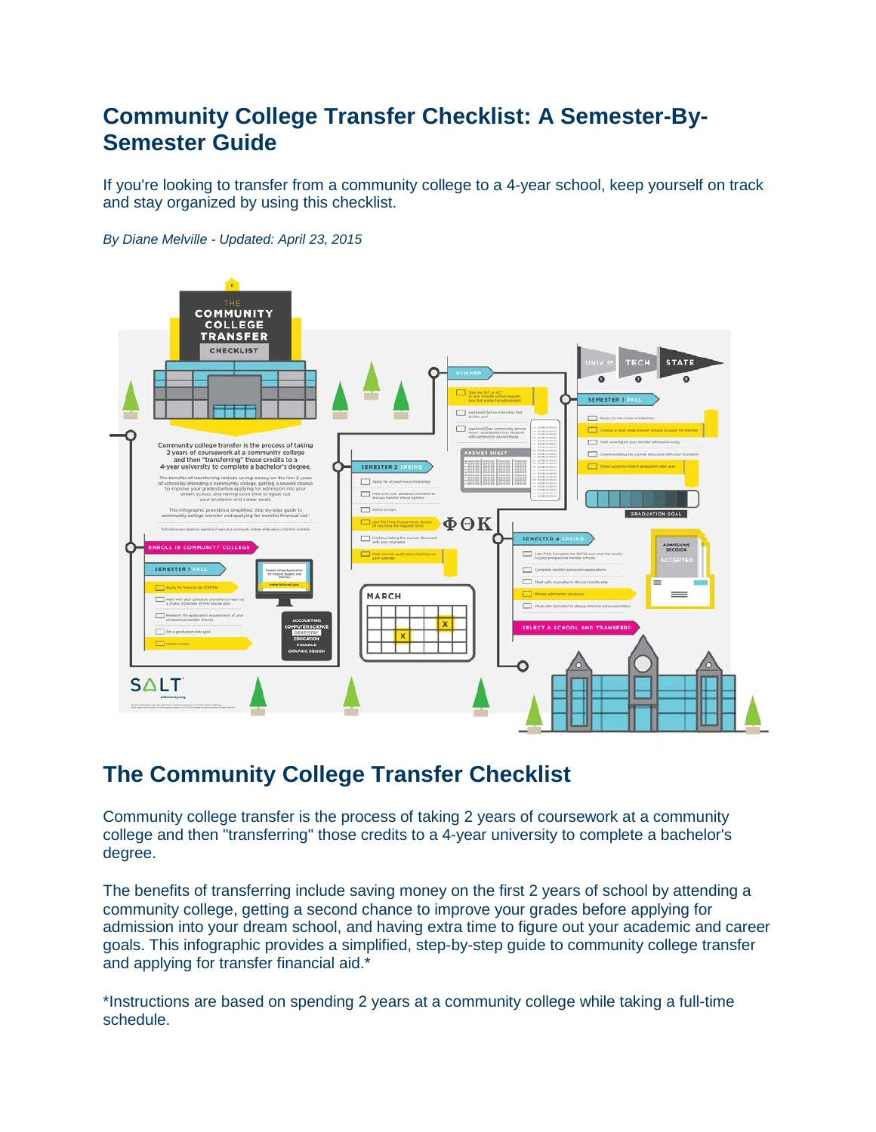# **Community College Transfer Checklist: A Semester-By-Semester Guide**

If you're looking to transfer from a community college to a 4-year school, keep yourself on track and stay organized by using this checklist.



*By Diane Melville - Updated: April 23, 2015*

# **The Community College Transfer Checklist**

Community college transfer is the process of taking 2 years of coursework at a community college and then "transferring" those credits to a 4-year university to complete a bachelor's degree.

The benefits of transferring include saving money on the first 2 years of school by attending a community college, getting a second chance to improve your grades before applying for admission into your dream school, and having extra time to figure out your academic and career goals. This infographic provides a simplified, step-by-step guide to community college transfer and applying for transfer financial aid.\*

\*Instructions are based on spending 2 years at a community college while taking a full-time schedule.